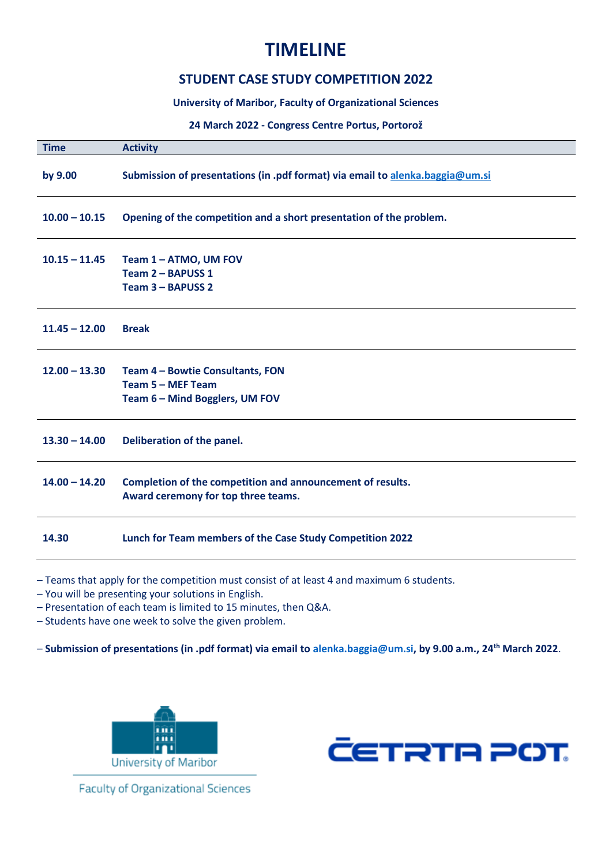## **TIMELINE**

## **STUDENT CASE STUDY COMPETITION 2022**

**University of Maribor, Faculty of Organizational Sciences**

## **24 March 2022 - Congress Centre Portus, Portorož**

| <b>Time</b>     | <b>Activity</b>                                                                                   |
|-----------------|---------------------------------------------------------------------------------------------------|
| by 9.00         | Submission of presentations (in .pdf format) via email to alenka.baggia@um.si                     |
| $10.00 - 10.15$ | Opening of the competition and a short presentation of the problem.                               |
| $10.15 - 11.45$ | Team 1 - ATMO, UM FOV<br>Team 2 - BAPUSS 1<br>Team 3 - BAPUSS 2                                   |
| $11.45 - 12.00$ | <b>Break</b>                                                                                      |
| $12.00 - 13.30$ | Team 4 - Bowtie Consultants, FON<br>Team 5 - MEF Team<br>Team 6 - Mind Bogglers, UM FOV           |
| $13.30 - 14.00$ | Deliberation of the panel.                                                                        |
| $14.00 - 14.20$ | Completion of the competition and announcement of results.<br>Award ceremony for top three teams. |
| 14.30           | Lunch for Team members of the Case Study Competition 2022                                         |
|                 |                                                                                                   |

– Teams that apply for the competition must consist of at least 4 and maximum 6 students.

– You will be presenting your solutions in English.

– Presentation of each team is limited to 15 minutes, then Q&A.

– Students have one week to solve the given problem.

– **Submission of presentations (in .pdf format) via email to alenka.baggia@um.si, by 9.00 a.m., 24th March 2022**.





**Faculty of Organizational Sciences**